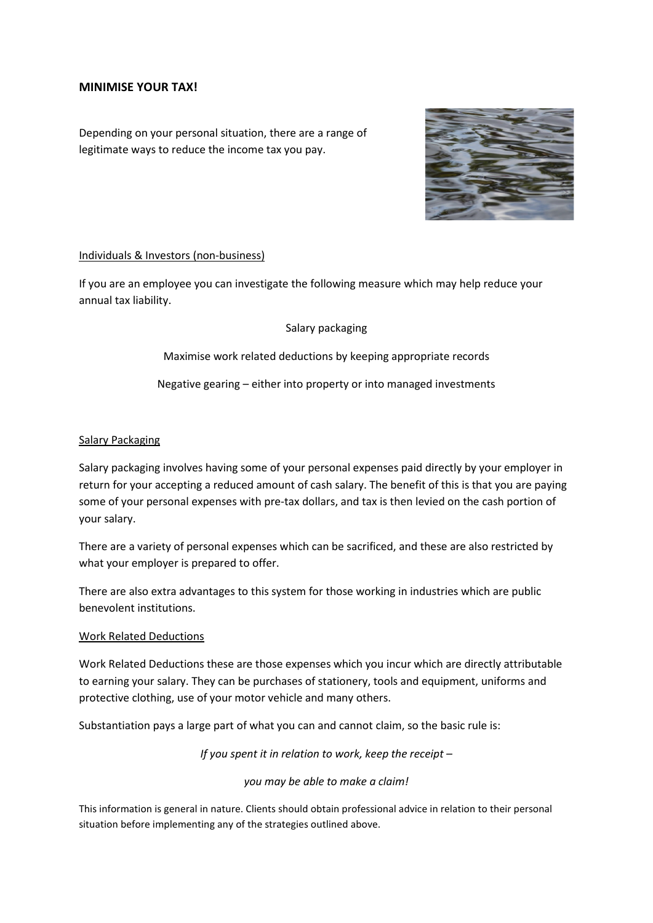# **MINIMISE YOUR TAX!**

Depending on your personal situation, there are a range of legitimate ways to reduce the income tax you pay.



## Individuals & Investors (non-business)

If you are an employee you can investigate the following measure which may help reduce your annual tax liability.

## Salary packaging

Maximise work related deductions by keeping appropriate records

Negative gearing – either into property or into managed investments

## Salary Packaging

Salary packaging involves having some of your personal expenses paid directly by your employer in return for your accepting a reduced amount of cash salary. The benefit of this is that you are paying some of your personal expenses with pre-tax dollars, and tax is then levied on the cash portion of your salary.

There are a variety of personal expenses which can be sacrificed, and these are also restricted by what your employer is prepared to offer.

There are also extra advantages to this system for those working in industries which are public benevolent institutions.

#### Work Related Deductions

Work Related Deductions these are those expenses which you incur which are directly attributable to earning your salary. They can be purchases of stationery, tools and equipment, uniforms and protective clothing, use of your motor vehicle and many others.

Substantiation pays a large part of what you can and cannot claim, so the basic rule is:

*If you spent it in relation to work, keep the receipt –*

#### *you may be able to make a claim!*

This information is general in nature. Clients should obtain professional advice in relation to their personal situation before implementing any of the strategies outlined above.